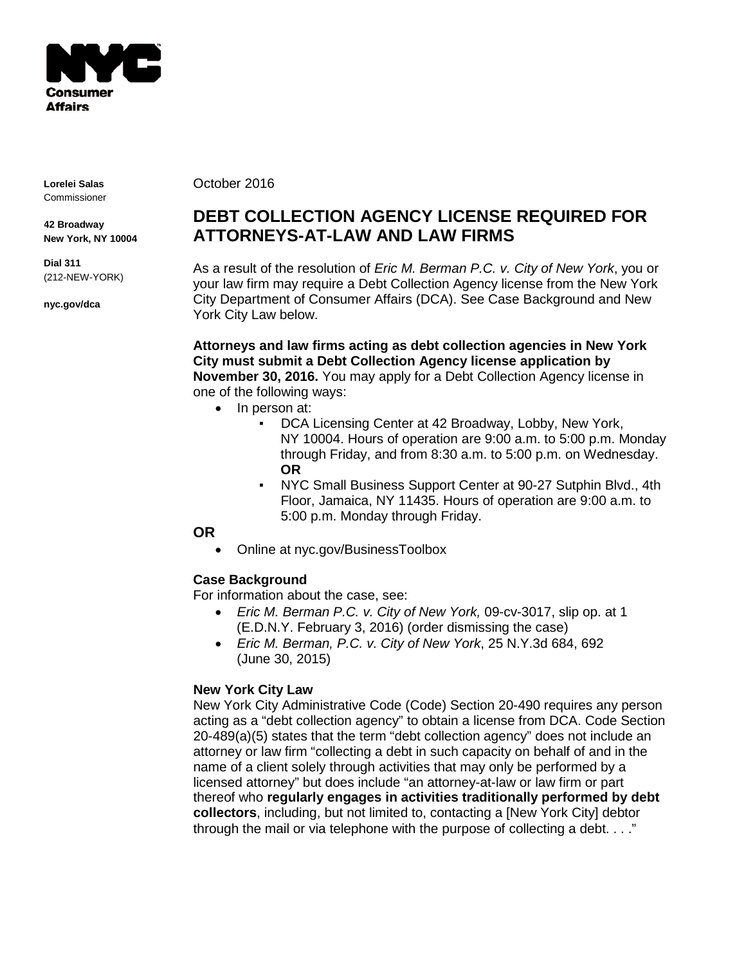

**Lorelei Salas** Commissioner

**42 Broadway New York, NY 10004**

**Dial 311** (212-NEW-YORK)

**nyc.gov/dca**

October 2016

# **DEBT COLLECTION AGENCY LICENSE REQUIRED FOR ATTORNEYS-AT-LAW AND LAW FIRMS**

As a result of the resolution of *Eric M. Berman P.C. v. City of New York*, you or your law firm may require a Debt Collection Agency license from the New York City Department of Consumer Affairs (DCA). See Case Background and New York City Law below.

**Attorneys and law firms acting as debt collection agencies in New York City must submit a Debt Collection Agency license application by November 30, 2016.** You may apply for a Debt Collection Agency license in one of the following ways:

- In person at:
	- DCA Licensing Center at 42 Broadway, Lobby, New York, NY 10004. Hours of operation are 9:00 a.m. to 5:00 p.m. Monday through Friday, and from 8:30 a.m. to 5:00 p.m. on Wednesday. **OR**
	- NYC Small Business Support Center at 90-27 Sutphin Blvd., 4th Floor, Jamaica, NY 11435. Hours of operation are 9:00 a.m. to 5:00 p.m. Monday through Friday.

## **OR**

• Online at nyc.gov/BusinessToolbox

## **Case Background**

For information about the case, see:

- *Eric M. Berman P.C. v. City of New York,* 09-cv-3017, slip op. at 1 (E.D.N.Y. February 3, 2016) (order dismissing the case)
- *Eric M. Berman, P.C. v. City of New York*, 25 N.Y.3d 684, 692 (June 30, 2015)

## **New York City Law**

New York City Administrative Code (Code) Section 20-490 requires any person acting as a "debt collection agency" to obtain a license from DCA. Code Section 20-489(a)(5) states that the term "debt collection agency" does not include an attorney or law firm "collecting a debt in such capacity on behalf of and in the name of a client solely through activities that may only be performed by a licensed attorney" but does include "an attorney-at-law or law firm or part thereof who **regularly engages in activities traditionally performed by debt collectors**, including, but not limited to, contacting a [New York City] debtor through the mail or via telephone with the purpose of collecting a debt. . . ."